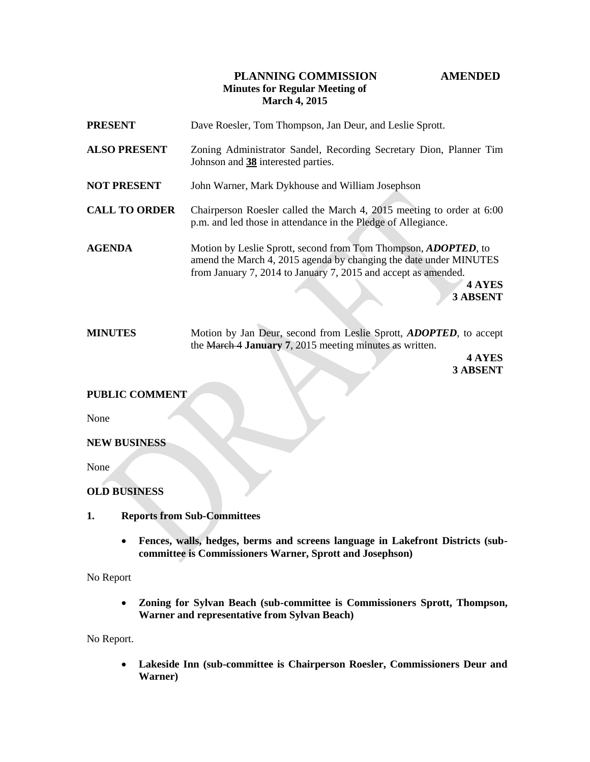# **PLANNING COMMISSION AMENDED Minutes for Regular Meeting of March 4, 2015**

| <b>PRESENT</b>        | Dave Roesler, Tom Thompson, Jan Deur, and Leslie Sprott.                                                                                                                                                                            |
|-----------------------|-------------------------------------------------------------------------------------------------------------------------------------------------------------------------------------------------------------------------------------|
| <b>ALSO PRESENT</b>   | Zoning Administrator Sandel, Recording Secretary Dion, Planner Tim<br>Johnson and 38 interested parties.                                                                                                                            |
| <b>NOT PRESENT</b>    | John Warner, Mark Dykhouse and William Josephson                                                                                                                                                                                    |
| <b>CALL TO ORDER</b>  | Chairperson Roesler called the March 4, 2015 meeting to order at 6:00<br>p.m. and led those in attendance in the Pledge of Allegiance.                                                                                              |
| <b>AGENDA</b>         | Motion by Leslie Sprott, second from Tom Thompson, <i>ADOPTED</i> , to<br>amend the March 4, 2015 agenda by changing the date under MINUTES<br>from January 7, 2014 to January 7, 2015 and accept as amended.<br>4 AYES<br>3 ABSENT |
| <b>MINUTES</b>        | Motion by Jan Deur, second from Leslie Sprott, <i>ADOPTED</i> , to accept<br>the March 4 January 7, 2015 meeting minutes as written.<br>4 AYES<br>3 ABSENT                                                                          |
| <b>PUBLIC COMMENT</b> |                                                                                                                                                                                                                                     |

None

#### **NEW BUSINESS**

None

## **OLD BUSINESS**

- **1. Reports from Sub-Committees**
	- **Fences, walls, hedges, berms and screens language in Lakefront Districts (subcommittee is Commissioners Warner, Sprott and Josephson)**

No Report

 **Zoning for Sylvan Beach (sub-committee is Commissioners Sprott, Thompson, Warner and representative from Sylvan Beach)**

No Report.

 **Lakeside Inn (sub-committee is Chairperson Roesler, Commissioners Deur and Warner)**